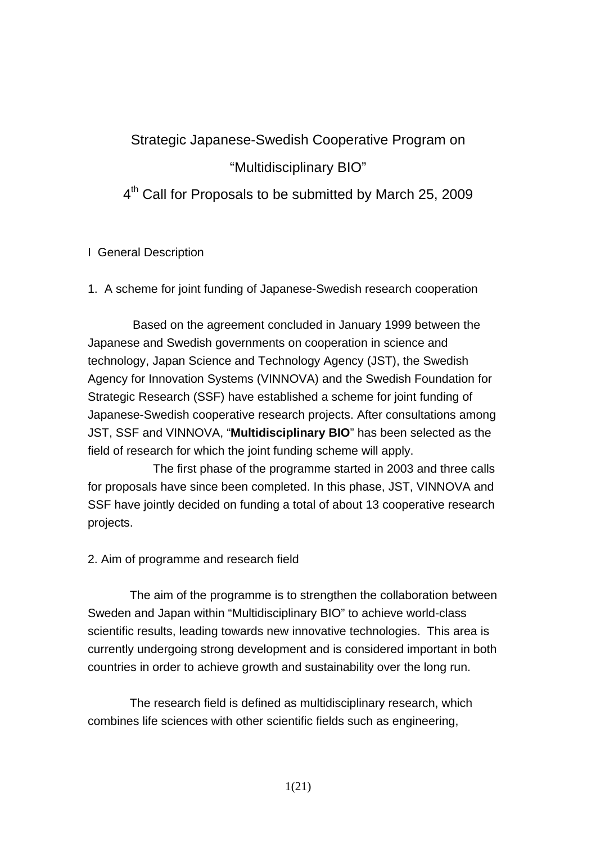# Strategic Japanese-Swedish Cooperative Program on "Multidisciplinary BIO"

4<sup>th</sup> Call for Proposals to be submitted by March 25, 2009

# I General Description

1. A scheme for joint funding of Japanese-Swedish research cooperation

Based on the agreement concluded in January 1999 between the Japanese and Swedish governments on cooperation in science and technology, Japan Science and Technology Agency (JST), the Swedish Agency for Innovation Systems (VINNOVA) and the Swedish Foundation for Strategic Research (SSF) have established a scheme for joint funding of Japanese-Swedish cooperative research projects. After consultations among JST, SSF and VINNOVA, "**Multidisciplinary BIO**" has been selected as the field of research for which the joint funding scheme will apply.

The first phase of the programme started in 2003 and three calls for proposals have since been completed. In this phase, JST, VINNOVA and SSF have jointly decided on funding a total of about 13 cooperative research projects.

#### 2. Aim of programme and research field

The aim of the programme is to strengthen the collaboration between Sweden and Japan within "Multidisciplinary BIO" to achieve world-class scientific results, leading towards new innovative technologies. This area is currently undergoing strong development and is considered important in both countries in order to achieve growth and sustainability over the long run.

The research field is defined as multidisciplinary research, which combines life sciences with other scientific fields such as engineering,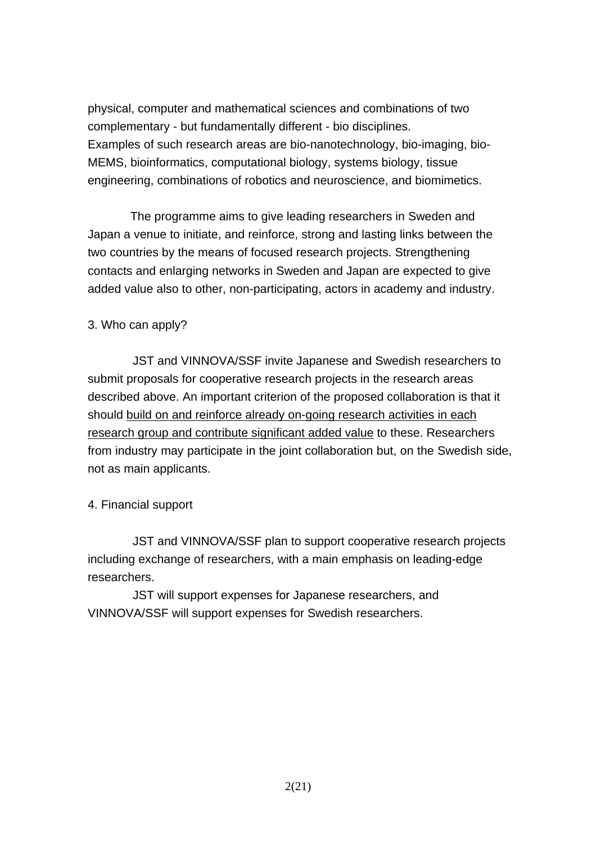physical, computer and mathematical sciences and combinations of two complementary - but fundamentally different - bio disciplines. Examples of such research areas are bio-nanotechnology, bio-imaging, bio-MEMS, bioinformatics, computational biology, systems biology, tissue engineering, combinations of robotics and neuroscience, and biomimetics.

The programme aims to give leading researchers in Sweden and Japan a venue to initiate, and reinforce, strong and lasting links between the two countries by the means of focused research projects. Strengthening contacts and enlarging networks in Sweden and Japan are expected to give added value also to other, non-participating, actors in academy and industry.

#### 3. Who can apply?

JST and VINNOVA/SSF invite Japanese and Swedish researchers to submit proposals for cooperative research projects in the research areas described above. An important criterion of the proposed collaboration is that it should build on and reinforce already on-going research activities in each research group and contribute significant added value to these. Researchers from industry may participate in the joint collaboration but, on the Swedish side, not as main applicants.

#### 4. Financial support

JST and VINNOVA/SSF plan to support cooperative research projects including exchange of researchers, with a main emphasis on leading-edge researchers.

JST will support expenses for Japanese researchers, and VINNOVA/SSF will support expenses for Swedish researchers.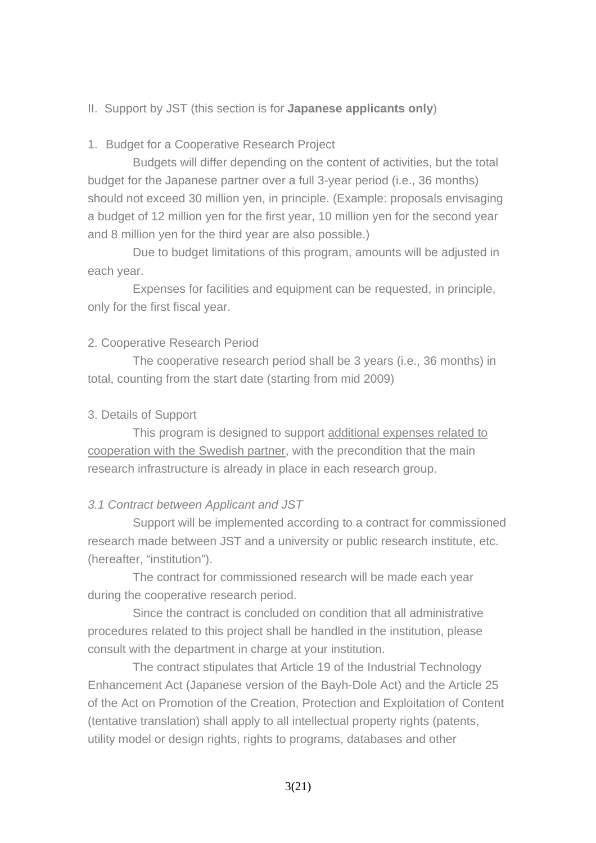#### II. Support by JST (this section is for **Japanese applicants only**)

#### 1. Budget for a Cooperative Research Project

Budgets will differ depending on the content of activities, but the total budget for the Japanese partner over a full 3-year period (i.e., 36 months) should not exceed 30 million yen, in principle. (Example: proposals envisaging a budget of 12 million yen for the first year, 10 million yen for the second year and 8 million yen for the third year are also possible.)

Due to budget limitations of this program, amounts will be adjusted in each year.

Expenses for facilities and equipment can be requested, in principle, only for the first fiscal year.

#### 2. Cooperative Research Period

The cooperative research period shall be 3 years (i.e., 36 months) in total, counting from the start date (starting from mid 2009)

#### 3. Details of Support

This program is designed to support additional expenses related to cooperation with the Swedish partner, with the precondition that the main research infrastructure is already in place in each research group.

#### *3.1 Contract between Applicant and JST*

Support will be implemented according to a contract for commissioned research made between JST and a university or public research institute, etc. (hereafter, "institution").

The contract for commissioned research will be made each year during the cooperative research period.

Since the contract is concluded on condition that all administrative procedures related to this project shall be handled in the institution, please consult with the department in charge at your institution.

The contract stipulates that Article 19 of the Industrial Technology Enhancement Act (Japanese version of the Bayh-Dole Act) and the Article 25 of the Act on Promotion of the Creation, Protection and Exploitation of Content (tentative translation) shall apply to all intellectual property rights (patents, utility model or design rights, rights to programs, databases and other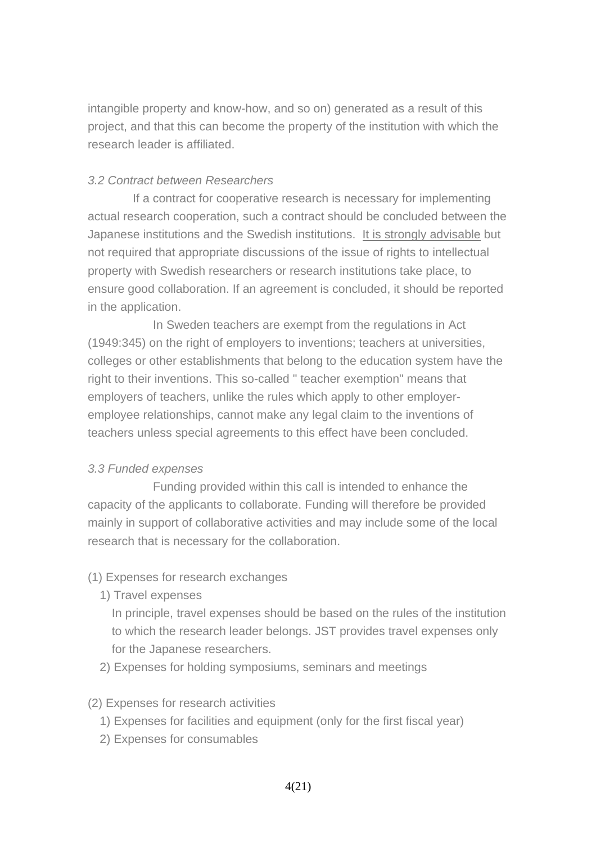intangible property and know-how, and so on) generated as a result of this project, and that this can become the property of the institution with which the research leader is affiliated.

#### *3.2 Contract between Researchers*

If a contract for cooperative research is necessary for implementing actual research cooperation, such a contract should be concluded between the Japanese institutions and the Swedish institutions. It is strongly advisable but not required that appropriate discussions of the issue of rights to intellectual property with Swedish researchers or research institutions take place, to ensure good collaboration. If an agreement is concluded, it should be reported in the application.

 In Sweden teachers are exempt from the regulations in Act (1949:345) on the right of employers to inventions; teachers at universities, colleges or other establishments that belong to the education system have the right to their inventions. This so-called " teacher exemption" means that employers of teachers, unlike the rules which apply to other employeremployee relationships, cannot make any legal claim to the inventions of teachers unless special agreements to this effect have been concluded.

#### *3.3 Funded expenses*

Funding provided within this call is intended to enhance the capacity of the applicants to collaborate. Funding will therefore be provided mainly in support of collaborative activities and may include some of the local research that is necessary for the collaboration.

#### (1) Expenses for research exchanges

1) Travel expenses

In principle, travel expenses should be based on the rules of the institution to which the research leader belongs. JST provides travel expenses only for the Japanese researchers.

2) Expenses for holding symposiums, seminars and meetings

#### (2) Expenses for research activities

- 1) Expenses for facilities and equipment (only for the first fiscal year)
- 2) Expenses for consumables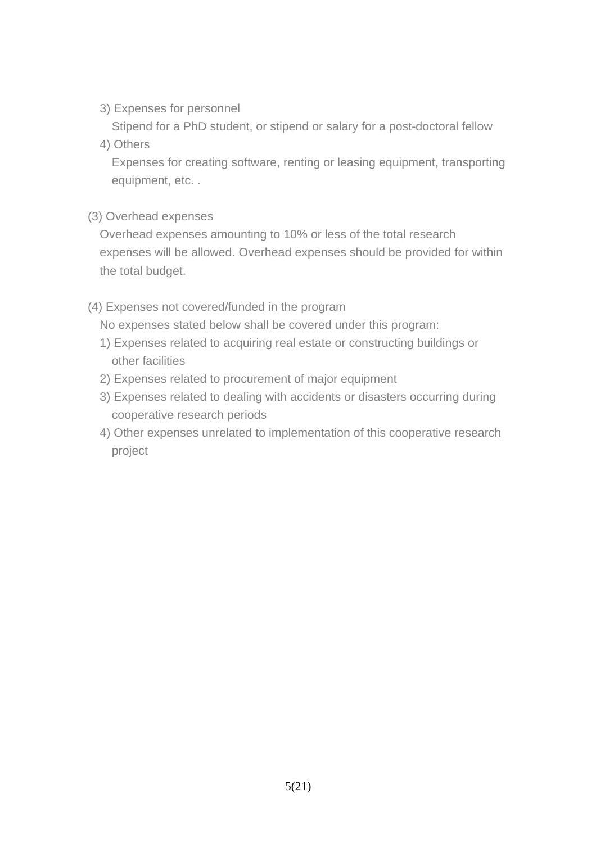3) Expenses for personnel

Stipend for a PhD student, or stipend or salary for a post-doctoral fellow

4) Others

Expenses for creating software, renting or leasing equipment, transporting equipment, etc. .

(3) Overhead expenses

Overhead expenses amounting to 10% or less of the total research expenses will be allowed. Overhead expenses should be provided for within the total budget.

(4) Expenses not covered/funded in the program

No expenses stated below shall be covered under this program:

- 1) Expenses related to acquiring real estate or constructing buildings or other facilities
- 2) Expenses related to procurement of major equipment
- 3) Expenses related to dealing with accidents or disasters occurring during cooperative research periods
- 4) Other expenses unrelated to implementation of this cooperative research project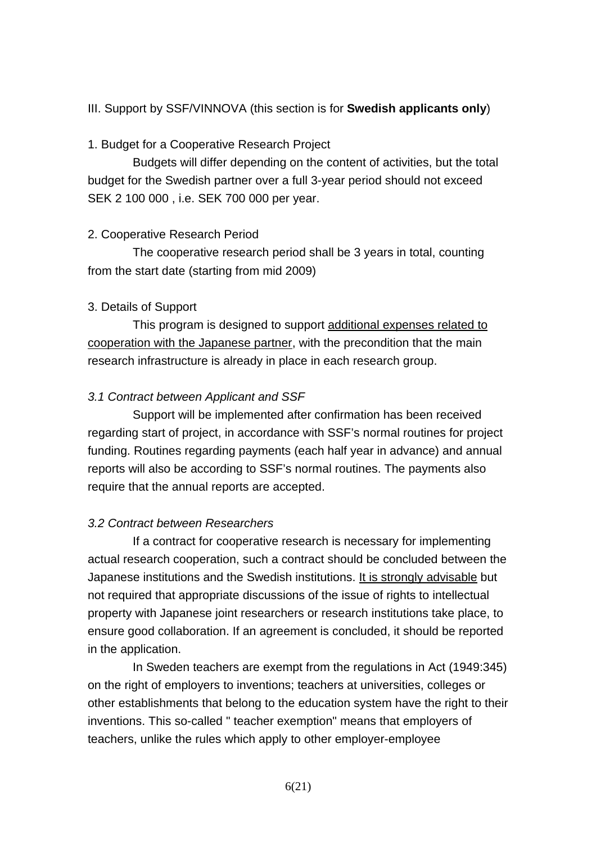#### III. Support by SSF/VINNOVA (this section is for **Swedish applicants only**)

#### 1. Budget for a Cooperative Research Project

Budgets will differ depending on the content of activities, but the total budget for the Swedish partner over a full 3-year period should not exceed SEK 2 100 000 , i.e. SEK 700 000 per year.

#### 2. Cooperative Research Period

The cooperative research period shall be 3 years in total, counting from the start date (starting from mid 2009)

#### 3. Details of Support

This program is designed to support additional expenses related to cooperation with the Japanese partner, with the precondition that the main research infrastructure is already in place in each research group.

#### *3.1 Contract between Applicant and SSF*

Support will be implemented after confirmation has been received regarding start of project, in accordance with SSF's normal routines for project funding. Routines regarding payments (each half year in advance) and annual reports will also be according to SSF's normal routines. The payments also require that the annual reports are accepted.

#### *3.2 Contract between Researchers*

If a contract for cooperative research is necessary for implementing actual research cooperation, such a contract should be concluded between the Japanese institutions and the Swedish institutions. It is strongly advisable but not required that appropriate discussions of the issue of rights to intellectual property with Japanese joint researchers or research institutions take place, to ensure good collaboration. If an agreement is concluded, it should be reported in the application.

In Sweden teachers are exempt from the regulations in Act (1949:345) on the right of employers to inventions; teachers at universities, colleges or other establishments that belong to the education system have the right to their inventions. This so-called " teacher exemption" means that employers of teachers, unlike the rules which apply to other employer-employee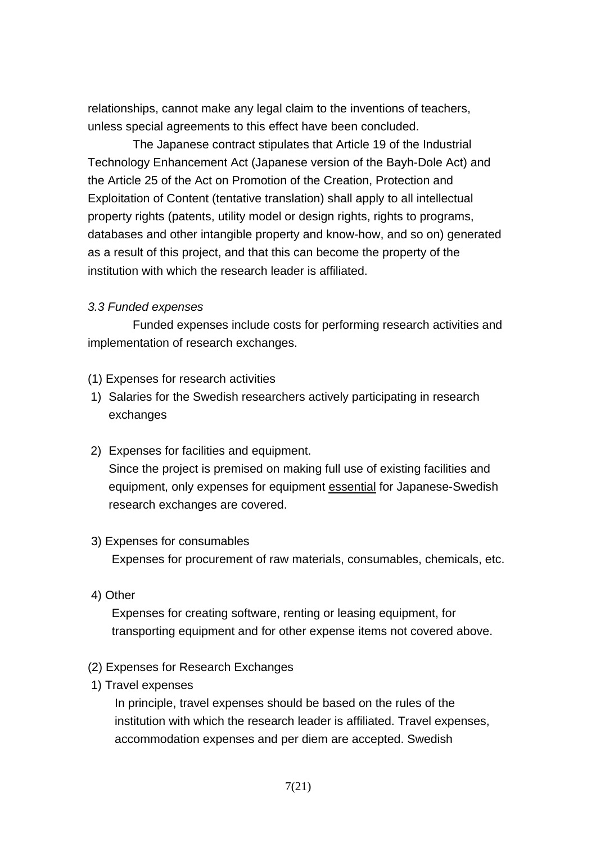relationships, cannot make any legal claim to the inventions of teachers, unless special agreements to this effect have been concluded.

The Japanese contract stipulates that Article 19 of the Industrial Technology Enhancement Act (Japanese version of the Bayh-Dole Act) and the Article 25 of the Act on Promotion of the Creation, Protection and Exploitation of Content (tentative translation) shall apply to all intellectual property rights (patents, utility model or design rights, rights to programs, databases and other intangible property and know-how, and so on) generated as a result of this project, and that this can become the property of the institution with which the research leader is affiliated.

#### *3.3 Funded expenses*

Funded expenses include costs for performing research activities and implementation of research exchanges.

- (1) Expenses for research activities
- 1) Salaries for the Swedish researchers actively participating in research exchanges
- 2) Expenses for facilities and equipment. Since the project is premised on making full use of existing facilities and equipment, only expenses for equipment essential for Japanese-Swedish research exchanges are covered.
- 3) Expenses for consumables Expenses for procurement of raw materials, consumables, chemicals, etc.
- 4) Other

Expenses for creating software, renting or leasing equipment, for transporting equipment and for other expense items not covered above.

- (2) Expenses for Research Exchanges
- 1) Travel expenses

In principle, travel expenses should be based on the rules of the institution with which the research leader is affiliated. Travel expenses, accommodation expenses and per diem are accepted. Swedish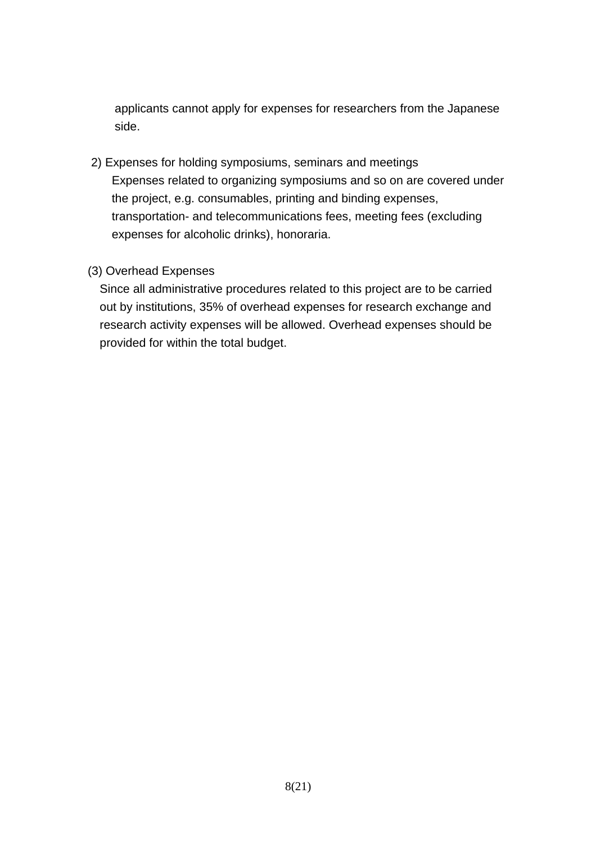applicants cannot apply for expenses for researchers from the Japanese side.

 2) Expenses for holding symposiums, seminars and meetings Expenses related to organizing symposiums and so on are covered under the project, e.g. consumables, printing and binding expenses, transportation- and telecommunications fees, meeting fees (excluding expenses for alcoholic drinks), honoraria.

#### (3) Overhead Expenses

Since all administrative procedures related to this project are to be carried out by institutions, 35% of overhead expenses for research exchange and research activity expenses will be allowed. Overhead expenses should be provided for within the total budget.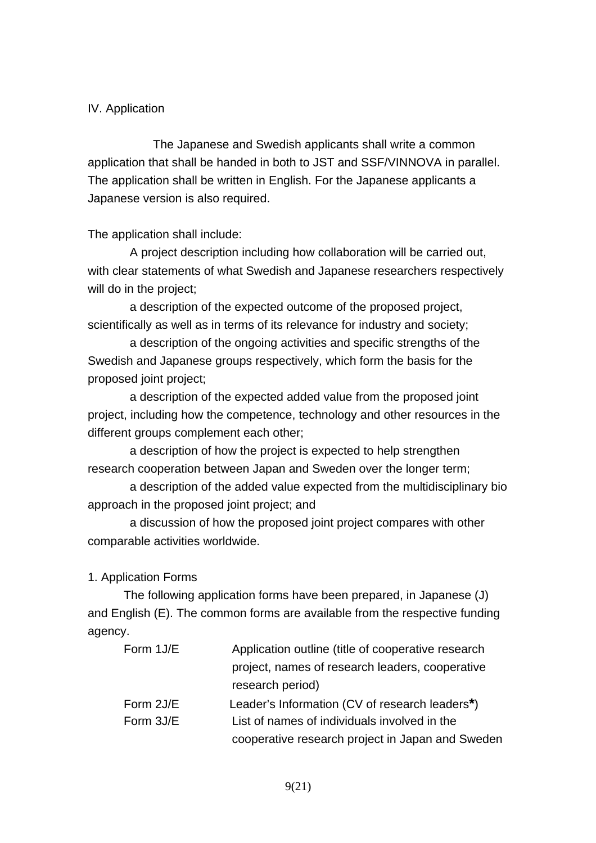#### IV. Application

The Japanese and Swedish applicants shall write a common application that shall be handed in both to JST and SSF/VINNOVA in parallel. The application shall be written in English. For the Japanese applicants a Japanese version is also required.

The application shall include:

A project description including how collaboration will be carried out, with clear statements of what Swedish and Japanese researchers respectively will do in the project;

a description of the expected outcome of the proposed project, scientifically as well as in terms of its relevance for industry and society;

a description of the ongoing activities and specific strengths of the Swedish and Japanese groups respectively, which form the basis for the proposed joint project;

a description of the expected added value from the proposed joint project, including how the competence, technology and other resources in the different groups complement each other;

a description of how the project is expected to help strengthen research cooperation between Japan and Sweden over the longer term;

a description of the added value expected from the multidisciplinary bio approach in the proposed joint project; and

a discussion of how the proposed joint project compares with other comparable activities worldwide.

#### 1. Application Forms

The following application forms have been prepared, in Japanese (J) and English (E). The common forms are available from the respective funding agency.

| Form 1J/E | Application outline (title of cooperative research |
|-----------|----------------------------------------------------|
|           | project, names of research leaders, cooperative    |
|           | research period)                                   |
| Form 2J/E | Leader's Information (CV of research leaders*)     |
| Form 3J/E | List of names of individuals involved in the       |
|           | cooperative research project in Japan and Sweden   |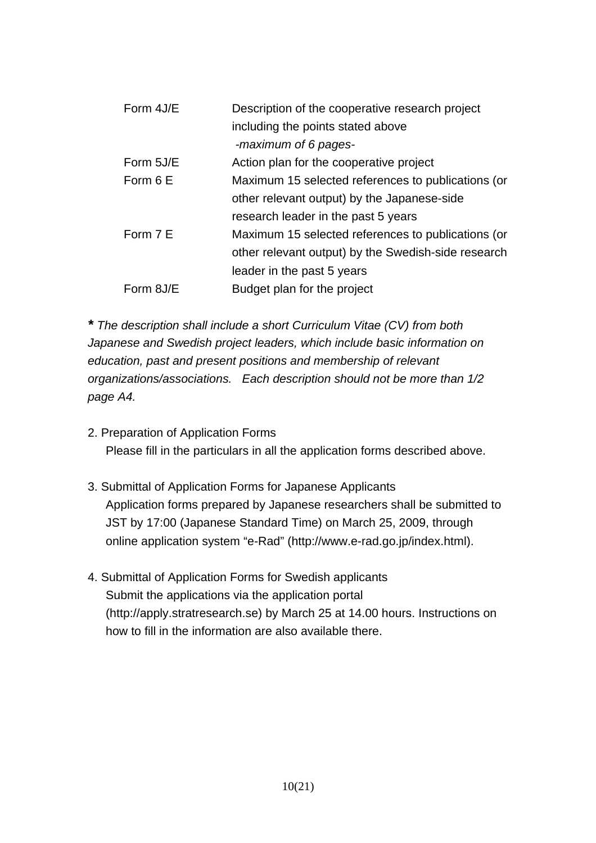| Form 4J/E | Description of the cooperative research project     |
|-----------|-----------------------------------------------------|
|           | including the points stated above                   |
|           | -maximum of 6 pages-                                |
| Form 5J/E | Action plan for the cooperative project             |
| Form 6 E  | Maximum 15 selected references to publications (or  |
|           | other relevant output) by the Japanese-side         |
|           | research leader in the past 5 years                 |
| Form 7 E  | Maximum 15 selected references to publications (or  |
|           | other relevant output) by the Swedish-side research |
|           | leader in the past 5 years                          |
| Form 8J/E | Budget plan for the project                         |

*\* The description shall include a short Curriculum Vitae (CV) from both Japanese and Swedish project leaders, which include basic information on education, past and present positions and membership of relevant organizations/associations. Each description should not be more than 1/2 page A4.* 

- 2. Preparation of Application Forms Please fill in the particulars in all the application forms described above.
- 3. Submittal of Application Forms for Japanese Applicants Application forms prepared by Japanese researchers shall be submitted to JST by 17:00 (Japanese Standard Time) on March 25, 2009, through online application system "e-Rad" (http://www.e-rad.go.jp/index.html).
- 4. Submittal of Application Forms for Swedish applicants Submit the applications via the application portal (http://apply.stratresearch.se) by March 25 at 14.00 hours. Instructions on how to fill in the information are also available there.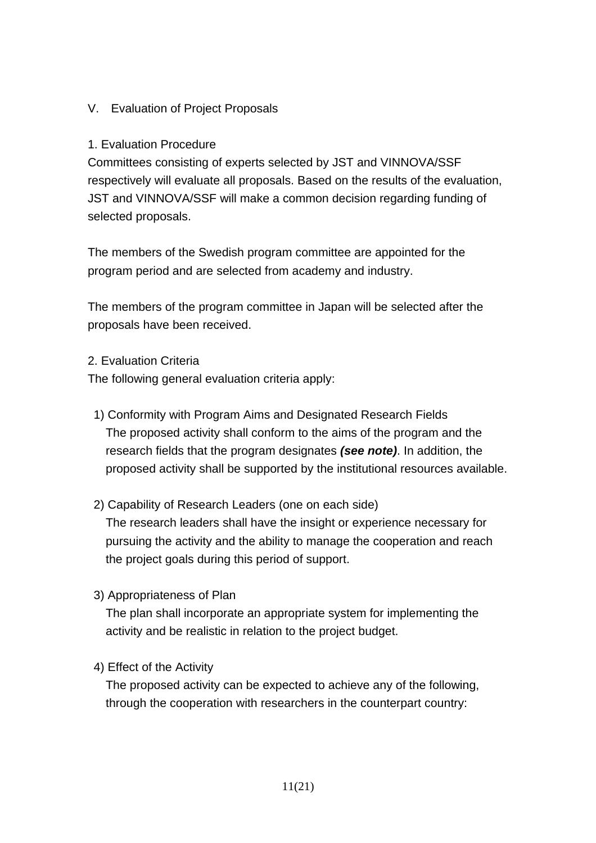# V. Evaluation of Project Proposals

#### 1. Evaluation Procedure

Committees consisting of experts selected by JST and VINNOVA/SSF respectively will evaluate all proposals. Based on the results of the evaluation, JST and VINNOVA/SSF will make a common decision regarding funding of selected proposals.

The members of the Swedish program committee are appointed for the program period and are selected from academy and industry.

The members of the program committee in Japan will be selected after the proposals have been received.

#### 2. Evaluation Criteria

The following general evaluation criteria apply:

1) Conformity with Program Aims and Designated Research Fields The proposed activity shall conform to the aims of the program and the research fields that the program designates *(see note)*. In addition, the proposed activity shall be supported by the institutional resources available.

# 2) Capability of Research Leaders (one on each side)

The research leaders shall have the insight or experience necessary for pursuing the activity and the ability to manage the cooperation and reach the project goals during this period of support.

#### 3) Appropriateness of Plan

The plan shall incorporate an appropriate system for implementing the activity and be realistic in relation to the project budget.

4) Effect of the Activity

The proposed activity can be expected to achieve any of the following, through the cooperation with researchers in the counterpart country: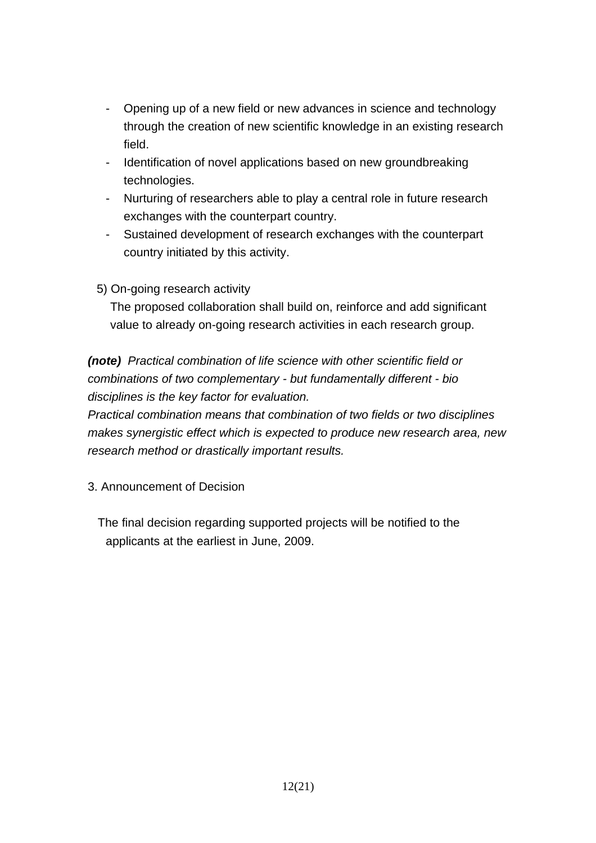- Opening up of a new field or new advances in science and technology through the creation of new scientific knowledge in an existing research field.
- Identification of novel applications based on new groundbreaking technologies.
- Nurturing of researchers able to play a central role in future research exchanges with the counterpart country.
- Sustained development of research exchanges with the counterpart country initiated by this activity.
- 5) On-going research activity

The proposed collaboration shall build on, reinforce and add significant value to already on-going research activities in each research group.

*(note) Practical combination of life science with other scientific field or combinations of two complementary - but fundamentally different - bio disciplines is the key factor for evaluation.* 

*Practical combination means that combination of two fields or two disciplines makes synergistic effect which is expected to produce new research area, new research method or drastically important results.*

3. Announcement of Decision

 The final decision regarding supported projects will be notified to the applicants at the earliest in June, 2009.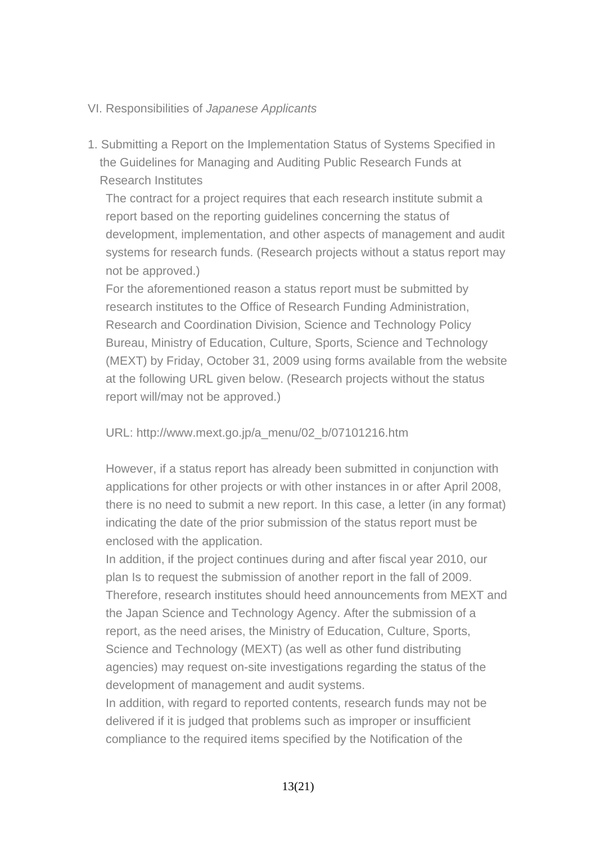#### VI. Responsibilities of *Japanese Applicants*

1. Submitting a Report on the Implementation Status of Systems Specified in the Guidelines for Managing and Auditing Public Research Funds at Research Institutes

The contract for a project requires that each research institute submit a report based on the reporting guidelines concerning the status of development, implementation, and other aspects of management and audit systems for research funds. (Research projects without a status report may not be approved.)

For the aforementioned reason a status report must be submitted by research institutes to the Office of Research Funding Administration, Research and Coordination Division, Science and Technology Policy Bureau, Ministry of Education, Culture, Sports, Science and Technology (MEXT) by Friday, October 31, 2009 using forms available from the website at the following URL given below. (Research projects without the status report will/may not be approved.)

# URL: http://www.mext.go.jp/a\_menu/02\_b/07101216.htm

However, if a status report has already been submitted in conjunction with applications for other projects or with other instances in or after April 2008, there is no need to submit a new report. In this case, a letter (in any format) indicating the date of the prior submission of the status report must be enclosed with the application.

In addition, if the project continues during and after fiscal year 2010, our plan Is to request the submission of another report in the fall of 2009. Therefore, research institutes should heed announcements from MEXT and the Japan Science and Technology Agency. After the submission of a report, as the need arises, the Ministry of Education, Culture, Sports, Science and Technology (MEXT) (as well as other fund distributing agencies) may request on-site investigations regarding the status of the development of management and audit systems.

In addition, with regard to reported contents, research funds may not be delivered if it is judged that problems such as improper or insufficient compliance to the required items specified by the Notification of the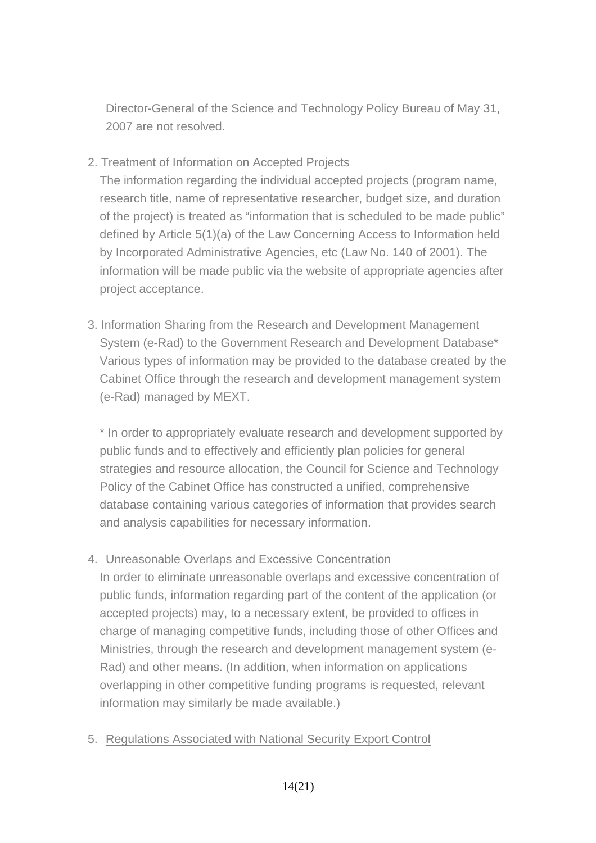Director-General of the Science and Technology Policy Bureau of May 31, 2007 are not resolved.

2. Treatment of Information on Accepted Projects

The information regarding the individual accepted projects (program name, research title, name of representative researcher, budget size, and duration of the project) is treated as "information that is scheduled to be made public" defined by Article 5(1)(a) of the Law Concerning Access to Information held by Incorporated Administrative Agencies, etc (Law No. 140 of 2001). The information will be made public via the website of appropriate agencies after project acceptance.

3. Information Sharing from the Research and Development Management System (e-Rad) to the Government Research and Development Database\* Various types of information may be provided to the database created by the Cabinet Office through the research and development management system (e-Rad) managed by MEXT.

\* In order to appropriately evaluate research and development supported by public funds and to effectively and efficiently plan policies for general strategies and resource allocation, the Council for Science and Technology Policy of the Cabinet Office has constructed a unified, comprehensive database containing various categories of information that provides search and analysis capabilities for necessary information.

- 4. Unreasonable Overlaps and Excessive Concentration In order to eliminate unreasonable overlaps and excessive concentration of public funds, information regarding part of the content of the application (or accepted projects) may, to a necessary extent, be provided to offices in charge of managing competitive funds, including those of other Offices and Ministries, through the research and development management system (e-Rad) and other means. (In addition, when information on applications overlapping in other competitive funding programs is requested, relevant information may similarly be made available.)
- 5. Regulations Associated with National Security Export Control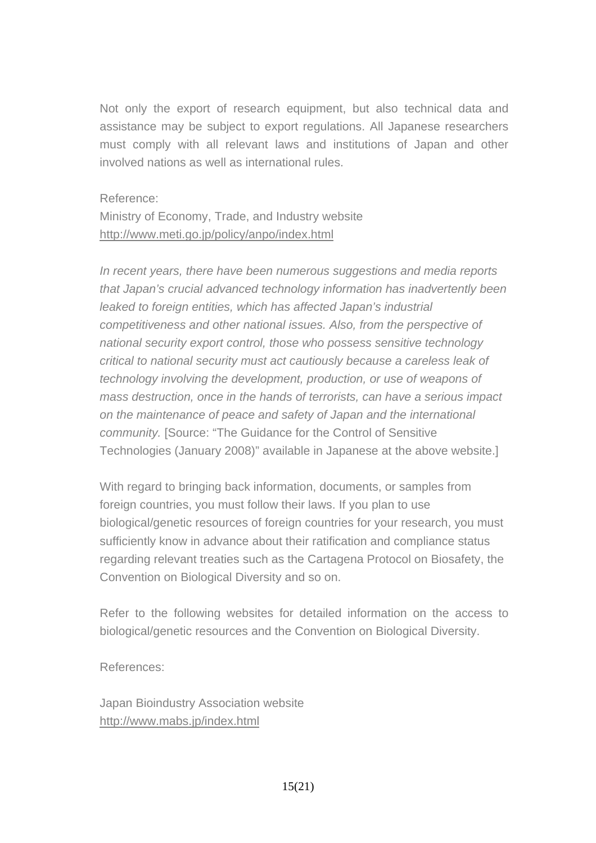Not only the export of research equipment, but also technical data and assistance may be subject to export regulations. All Japanese researchers must comply with all relevant laws and institutions of Japan and other involved nations as well as international rules.

Reference:

Ministry of Economy, Trade, and Industry website http://www.meti.go.jp/policy/anpo/index.html

*In recent years, there have been numerous suggestions and media reports that Japan's crucial advanced technology information has inadvertently been leaked to foreign entities, which has affected Japan's industrial competitiveness and other national issues. Also, from the perspective of national security export control, those who possess sensitive technology critical to national security must act cautiously because a careless leak of technology involving the development, production, or use of weapons of mass destruction, once in the hands of terrorists, can have a serious impact on the maintenance of peace and safety of Japan and the international community.* [Source: "The Guidance for the Control of Sensitive Technologies (January 2008)" available in Japanese at the above website.]

With regard to bringing back information, documents, or samples from foreign countries, you must follow their laws. If you plan to use biological/genetic resources of foreign countries for your research, you must sufficiently know in advance about their ratification and compliance status regarding relevant treaties such as the Cartagena Protocol on Biosafety, the Convention on Biological Diversity and so on.

Refer to the following websites for detailed information on the access to biological/genetic resources and the Convention on Biological Diversity.

References:

Japan Bioindustry Association website http://www.mabs.jp/index.html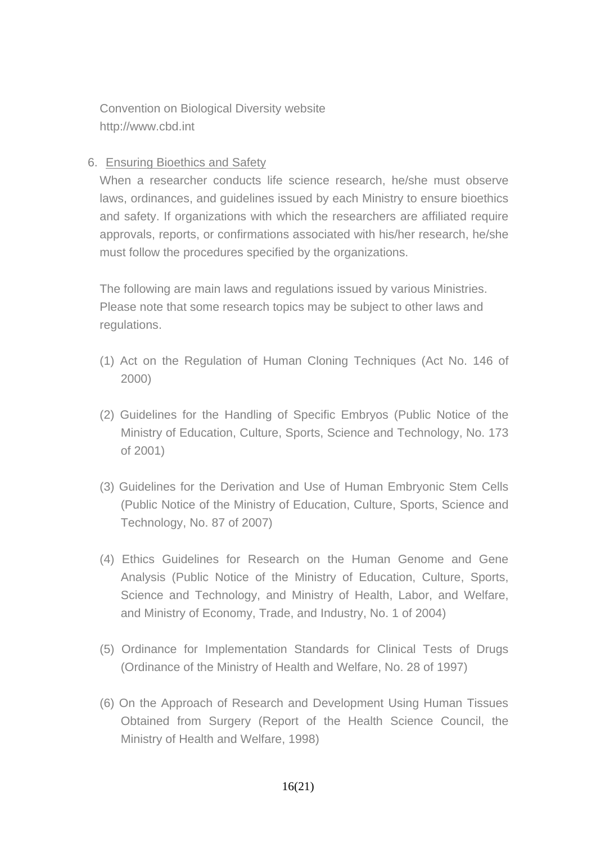Convention on Biological Diversity website http://www.cbd.int

# 6. Ensuring Bioethics and Safety

When a researcher conducts life science research, he/she must observe laws, ordinances, and guidelines issued by each Ministry to ensure bioethics and safety. If organizations with which the researchers are affiliated require approvals, reports, or confirmations associated with his/her research, he/she must follow the procedures specified by the organizations.

The following are main laws and regulations issued by various Ministries. Please note that some research topics may be subject to other laws and regulations.

- (1) Act on the Regulation of Human Cloning Techniques (Act No. 146 of 2000)
- (2) Guidelines for the Handling of Specific Embryos (Public Notice of the Ministry of Education, Culture, Sports, Science and Technology, No. 173 of 2001)
- (3) Guidelines for the Derivation and Use of Human Embryonic Stem Cells (Public Notice of the Ministry of Education, Culture, Sports, Science and Technology, No. 87 of 2007)
- (4) Ethics Guidelines for Research on the Human Genome and Gene Analysis (Public Notice of the Ministry of Education, Culture, Sports, Science and Technology, and Ministry of Health, Labor, and Welfare, and Ministry of Economy, Trade, and Industry, No. 1 of 2004)
- (5) Ordinance for Implementation Standards for Clinical Tests of Drugs (Ordinance of the Ministry of Health and Welfare, No. 28 of 1997)
- (6) On the Approach of Research and Development Using Human Tissues Obtained from Surgery (Report of the Health Science Council, the Ministry of Health and Welfare, 1998)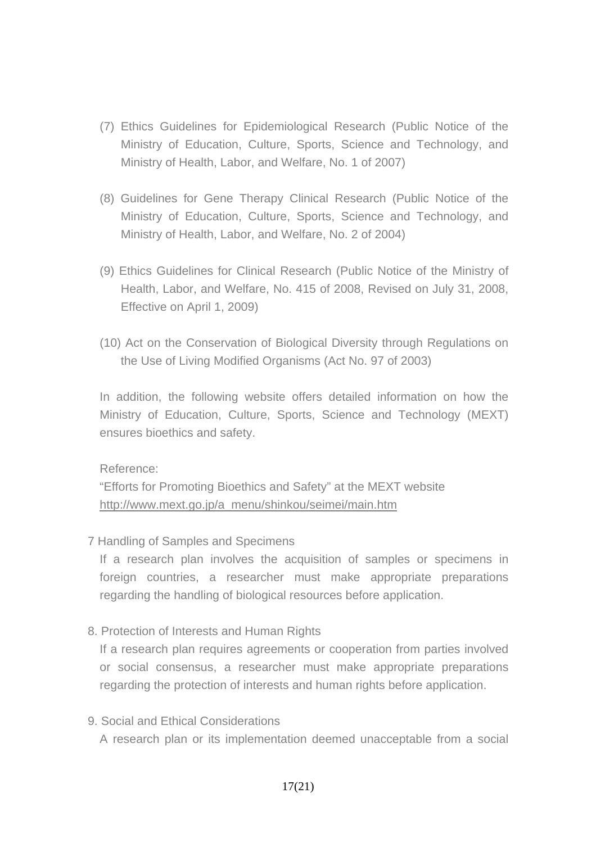- (7) Ethics Guidelines for Epidemiological Research (Public Notice of the Ministry of Education, Culture, Sports, Science and Technology, and Ministry of Health, Labor, and Welfare, No. 1 of 2007)
- (8) Guidelines for Gene Therapy Clinical Research (Public Notice of the Ministry of Education, Culture, Sports, Science and Technology, and Ministry of Health, Labor, and Welfare, No. 2 of 2004)
- (9) Ethics Guidelines for Clinical Research (Public Notice of the Ministry of Health, Labor, and Welfare, No. 415 of 2008, Revised on July 31, 2008, Effective on April 1, 2009)
- (10) Act on the Conservation of Biological Diversity through Regulations on the Use of Living Modified Organisms (Act No. 97 of 2003)

In addition, the following website offers detailed information on how the Ministry of Education, Culture, Sports, Science and Technology (MEXT) ensures bioethics and safety.

#### Reference:

"Efforts for Promoting Bioethics and Safety" at the MEXT website http://www.mext.go.jp/a\_menu/shinkou/seimei/main.htm

7 Handling of Samples and Specimens

If a research plan involves the acquisition of samples or specimens in foreign countries, a researcher must make appropriate preparations regarding the handling of biological resources before application.

8. Protection of Interests and Human Rights

If a research plan requires agreements or cooperation from parties involved or social consensus, a researcher must make appropriate preparations regarding the protection of interests and human rights before application.

9. Social and Ethical Considerations

A research plan or its implementation deemed unacceptable from a social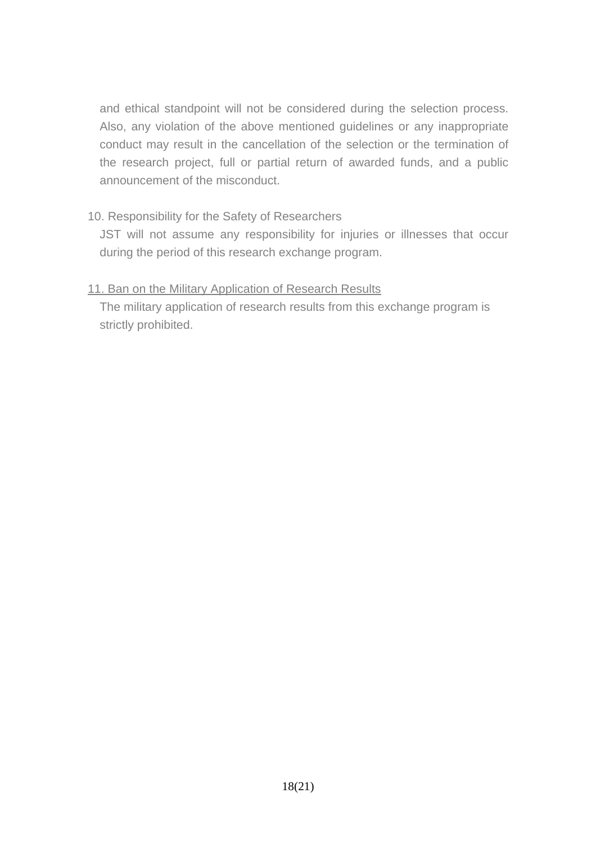and ethical standpoint will not be considered during the selection process. Also, any violation of the above mentioned guidelines or any inappropriate conduct may result in the cancellation of the selection or the termination of the research project, full or partial return of awarded funds, and a public announcement of the misconduct.

# 10. Responsibility for the Safety of Researchers

JST will not assume any responsibility for injuries or illnesses that occur during the period of this research exchange program.

#### 11. Ban on the Military Application of Research Results

The military application of research results from this exchange program is strictly prohibited.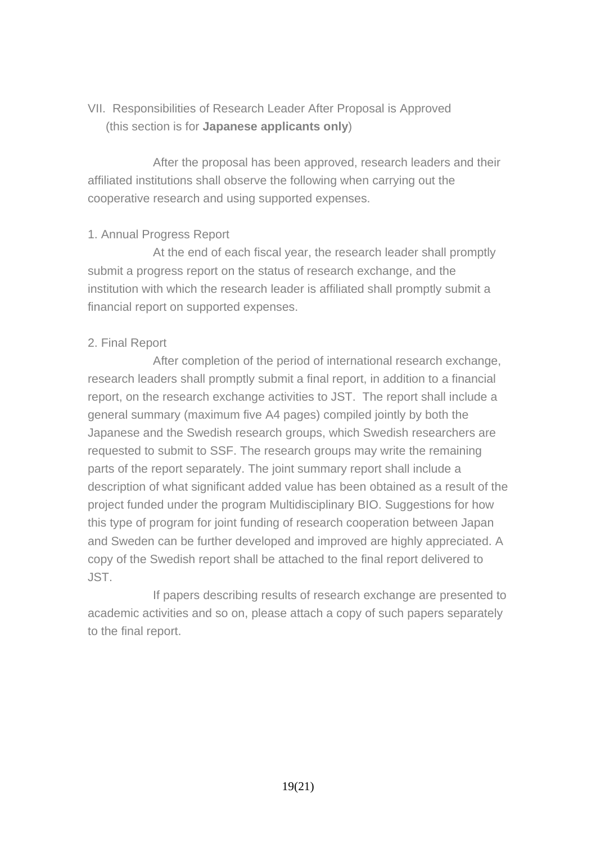# VII. Responsibilities of Research Leader After Proposal is Approved (this section is for **Japanese applicants only**)

 After the proposal has been approved, research leaders and their affiliated institutions shall observe the following when carrying out the cooperative research and using supported expenses.

#### 1. Annual Progress Report

 At the end of each fiscal year, the research leader shall promptly submit a progress report on the status of research exchange, and the institution with which the research leader is affiliated shall promptly submit a financial report on supported expenses.

# 2. Final Report

 After completion of the period of international research exchange, research leaders shall promptly submit a final report, in addition to a financial report, on the research exchange activities to JST. The report shall include a general summary (maximum five A4 pages) compiled jointly by both the Japanese and the Swedish research groups, which Swedish researchers are requested to submit to SSF. The research groups may write the remaining parts of the report separately. The joint summary report shall include a description of what significant added value has been obtained as a result of the project funded under the program Multidisciplinary BIO. Suggestions for how this type of program for joint funding of research cooperation between Japan and Sweden can be further developed and improved are highly appreciated. A copy of the Swedish report shall be attached to the final report delivered to JST.

If papers describing results of research exchange are presented to academic activities and so on, please attach a copy of such papers separately to the final report.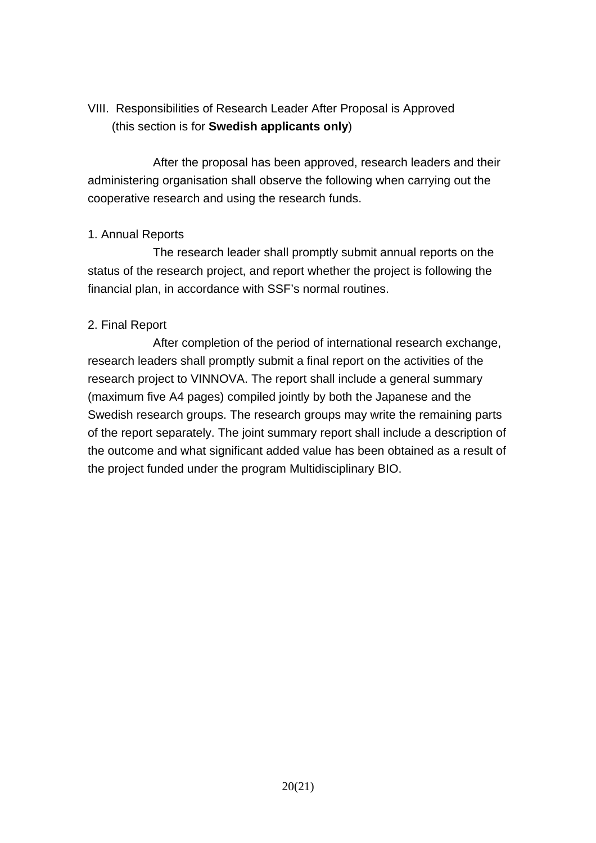# VIII. Responsibilities of Research Leader After Proposal is Approved (this section is for **Swedish applicants only**)

 After the proposal has been approved, research leaders and their administering organisation shall observe the following when carrying out the cooperative research and using the research funds.

#### 1. Annual Reports

 The research leader shall promptly submit annual reports on the status of the research project, and report whether the project is following the financial plan, in accordance with SSF's normal routines.

# 2. Final Report

 After completion of the period of international research exchange, research leaders shall promptly submit a final report on the activities of the research project to VINNOVA. The report shall include a general summary (maximum five A4 pages) compiled jointly by both the Japanese and the Swedish research groups. The research groups may write the remaining parts of the report separately. The joint summary report shall include a description of the outcome and what significant added value has been obtained as a result of the project funded under the program Multidisciplinary BIO.